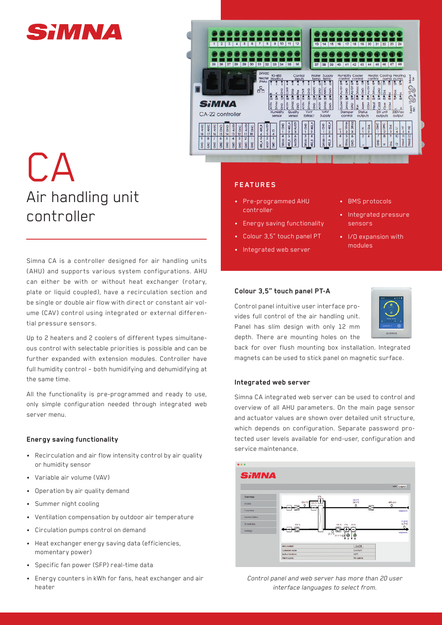



# CA Air handling unit controller

Simna CA is a controller designed for air handling units (AHU) and supports various system configurations. AHU can either be with or without heat exchanger (rotary, plate or liquid coupled), have a recirculation section and be single or double air flow with direct or constant air volume (CAV) control using integrated or external differential pressure sensors.

Up to 2 heaters and 2 coolers of different types simultaneous control with selectable priorities is possible and can be further expanded with extension modules. Controller have full humidity control – both humidifying and dehumidifying at the same time.

All the functionality is pre-programmed and ready to use, only simple configuration needed through integrated web server menu.

#### **Energy saving functionality**

- Recirculation and air flow intensity control by air quality or humidity sensor
- Variable air volume (VAV)
- Operation by air quality demand
- Summer night cooling
- Ventilation compensation by outdoor air temperature
- Circulation pumps control on demand
- Heat exchanger energy saving data (efficiencies, momentary power)
- Specific fan power (SFP) real-time data
- Energy counters in kWh for fans, heat exchanger and air heater

## **FEATURES**

- Pre-programmed AHU controller
- Energy saving functionality
- Colour 3,5" touch panel PT
- Integrated web server
- BMS protocols
- Integrated pressure sensors
- I/O expansion with modules

# **Colour 3,5" touch panel PT-A**

Control panel intuitive user interface provides full control of the air handling unit. Panel has slim design with only 12 mm depth. There are mounting holes on the



back for over flush mounting box installation. Integrated magnets can be used to stick panel on magnetic surface.

#### **Integrated web server**

Simna CA integrated web server can be used to control and overview of all AHU parameters. On the main page sensor and actuator values are shown over detailed unit structure, which depends on configuration. Separate password protected user levels available for end-user, configuration and service maintenance.



*Control panel and web server has more than 20 user interface languages to select from.*